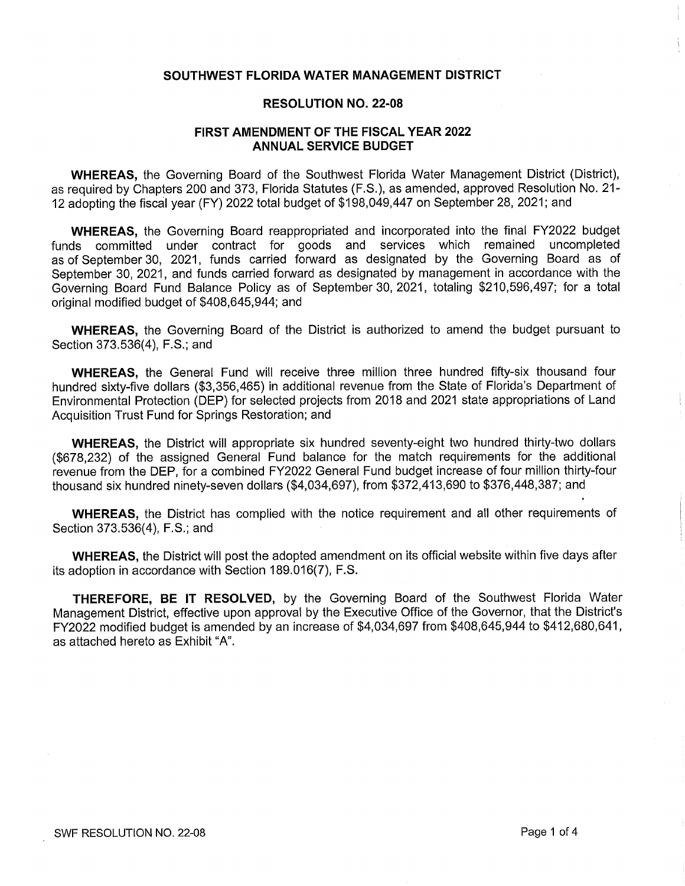# SOUTHWEST FLORIDA WATER MANAGEMENT DISTRICT

#### RESOLUTION N0. 22-08

# FIRST AMENDMENT OF THE FISCAL YEAR 2022 ANNUAL SERVICE BUDGET

WHEREAS, the Governing Board of the Southwest Florida Water Management District (District), as required by Chapters 200 and 373, Florida Statutes (F.S.), as amended, approved Resolution No. 21- 12 adopting the fiscal year (FY) 2022 total budget of \$198,049,447 on September 28, 2021; and

WHEREAS, the Governing Board reappropriated and incorporated into the final FY2022 budget funds committed under contract for goods and services which remained uncompleted as of September 30, 2021, funds carried forward as designated by the Governing Board as of September 30, 2021, and funds carried forward as designated by management in accordance with the Governing Board Fund Balance Policy as of September 30, 2021, totaling \$210,596,497; for a total original modified budget of \$408,645,944; and

WHEREAS, the Governing Board of the District is authorized to amend the budget pursuant to Section 373.536(4), F.S.; and

WHEREAS, the General Fund will receive three million three hundred fifty-six thousand four hundred sixty-five dollars (\$3,356,465) in additional revenue from the State of Florida's Department of Environmental Protection (DEP) for selected projects from 2018 and 2021 state appropriations of Land Acquisition Trust Fund for Springs Restoration; and

WHEREAS, the District will appropriate six hundred seventy-eight two hundred thirty-two dollars (\$678,232) of the assigned General Fund balance For the match requirements for the additional revenue from the DEP, for a combined FY2022 General Fund budget increase of four million thirty-four thousand six hundred ninety-seven dollars (\$4,034,697), from \$372,413,690 to \$376,448,387; and

WHEREAS, the District has complied with the notice requirement and all other requirements of Section 373.536(4), F.S.; and

WHEREAS, the District will post the adopted amendment on its official website within five days affer its adoption in accordance with Section 189.016(7), F.S.

THEREFORE, BE IT RESOLVED, by the Governing Board of the Southwest Florida Water Management District, effective upon approval by the Executive Office of the Governor, that the District's FY2022 modified budget is amended by an increase of \$4,034,697 from \$408,645,944 to \$412,680,641, as attached hereto as Exhibit "A".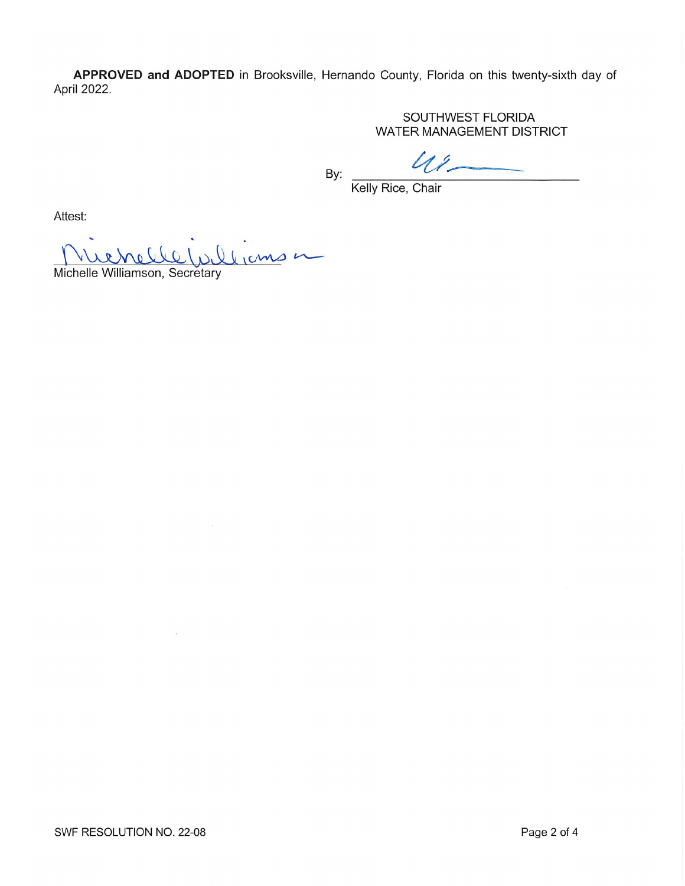APPROVED and ADOPTED in Brooksville, Hernando County, Florida on this twenty-sixth day of April 2022.

> SOUTHWEST FLORIDA WATER MANAGEMENT DISTRICT

 $u_{1}$ BY:

Kelly Rice, Chair

Attest:

Muchelle Williamson, Secretary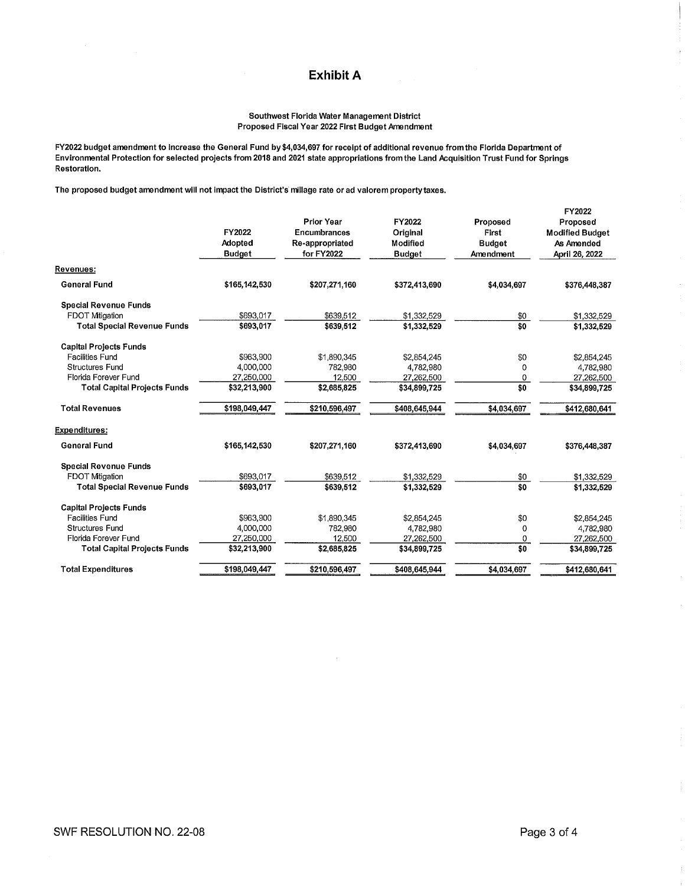# Exhibit A

#### Southwest Florida Water Management District Proposed Fiscal Year 2022 First Budget Amendment

FY2022 budget amendment to increase the General Fund by\$4,034,697 for receipt of additional revenue fromthe Florida Department of Environmental Protection for selected projects from 2018 and 2021 state appropriations from the Land Acquisition Trust Fund for Springs Restoration.

The proposed budget amendment will not impact the District's millage rate or ad valorem property taxes.

|                                     | FY2022<br>Adopted<br><b>Budget</b> | <b>Prior Year</b><br><b>Encumbrances</b><br>Re-appropriated<br>for FY2022 | FY2022<br>Original<br>Modified<br><b>Budget</b> | Proposed<br>First<br><b>Budget</b><br>Amendment | FY2022<br>Proposed<br><b>Modified Budget</b><br>As Amended<br>April 26, 2022 |
|-------------------------------------|------------------------------------|---------------------------------------------------------------------------|-------------------------------------------------|-------------------------------------------------|------------------------------------------------------------------------------|
| Revenues:                           |                                    |                                                                           |                                                 |                                                 |                                                                              |
| <b>General Fund</b>                 | \$165,142,530                      | \$207.271.160                                                             | \$372,413,690                                   | \$4.034.697                                     | \$376,448,387                                                                |
| <b>Special Revenue Funds</b>        |                                    |                                                                           |                                                 |                                                 |                                                                              |
| <b>FDOT Mtigation</b>               | \$693,017                          | \$639,512                                                                 | \$1,332,529                                     | \$0                                             | \$1,332,529                                                                  |
| <b>Total Special Revenue Funds</b>  | \$693,017                          | \$639.512                                                                 | \$1,332,529                                     | \$0                                             | \$1,332,529                                                                  |
| <b>Capital Projects Funds</b>       |                                    |                                                                           |                                                 |                                                 |                                                                              |
| Facilities Fund                     | \$963,900                          | \$1,890,345                                                               | \$2,854.245                                     | \$0                                             | \$2,854,245                                                                  |
| Structures Fund                     | 4.000.000                          | 782,980                                                                   | 4,782,980                                       | 0                                               | 4,782,980                                                                    |
| Florida Forever Fund                | 27,250,000                         | 12,500                                                                    | 27,262,500                                      | 0                                               | 27,262,500                                                                   |
| <b>Total Capital Projects Funds</b> | \$32,213,900                       | \$2,685,825                                                               | \$34,899,725                                    | \$0                                             | \$34,899,725                                                                 |
| <b>Total Revenues</b>               | \$198,049,447                      | \$210,596,497                                                             | \$408,645,944                                   | \$4,034,697                                     | \$412,680,641                                                                |
| Expenditures:                       |                                    |                                                                           |                                                 |                                                 |                                                                              |
| <b>General Fund</b>                 | \$165,142,530                      | \$207.271.160                                                             | \$372,413,690                                   | \$4,034,697                                     | \$376,448,387                                                                |
| <b>Special Revenue Funds</b>        |                                    |                                                                           |                                                 |                                                 |                                                                              |
| <b>FDOT Milgation</b>               | \$693,017                          | \$639,512                                                                 | \$1,332,529                                     | \$0                                             | \$1,332,529                                                                  |
| <b>Total Special Revenue Funds</b>  | \$693,017                          | \$639,512                                                                 | \$1,332,529                                     | \$0                                             | \$1,332,529                                                                  |
| <b>Capital Projects Funds</b>       |                                    |                                                                           |                                                 |                                                 |                                                                              |
| Facilities Fund                     | \$963,900                          | \$1,890,345                                                               | \$2,854,245                                     | \$0                                             | \$2,854,245                                                                  |
| <b>Structures Fund</b>              | 4,000,000                          | 782,980                                                                   | 4,782,980                                       | 0                                               | 4,782,980                                                                    |
| Florida Forever Fund                | 27,250,000                         | 12.500                                                                    | 27,262,500                                      | 0                                               | 27,262,500                                                                   |
| <b>Total Capital Projects Funds</b> | \$32,213,900                       | \$2,685,825                                                               | \$34,899,725                                    | \$0                                             | \$34,899,725                                                                 |
| <b>Total Expenditures</b>           | \$198,049,447                      | \$210,596,497                                                             | \$408,645.944                                   | \$4,034,697                                     | \$412,680,641                                                                |
|                                     |                                    |                                                                           |                                                 |                                                 |                                                                              |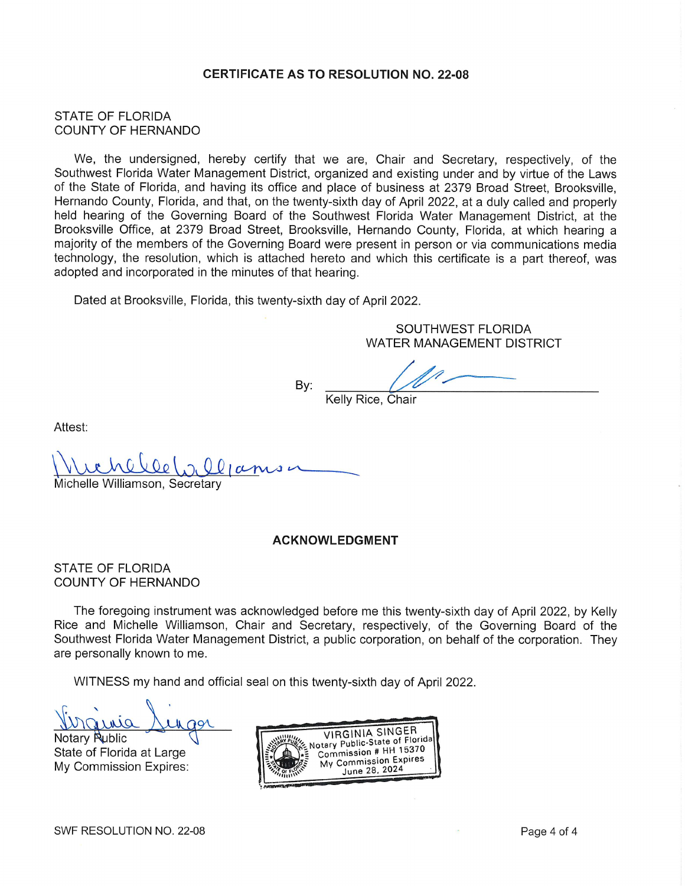# CERTIFICATE AS TO RESOLUTION N0. 22-08

### STATE OF FLORIDA COUNTY OF HERNANDO

We, the undersigned, hereby certify that we are, Chair and Secretary, respectively, of the Southwest Florida Water Management District, organized and existing under and by virtue of the Laws of the State of Florida, and having its office and place of business at 2379 Broad Street, Brooksville, Hernando County, Florida, and that, on the twenty-sixth day of April 2022, at a duly called and properly held hearing of the Governing Board of the Southwest Florida Water Management District, at the Brooksville Office, at 2379 Broad Street, Brooksville, Hernando County, Florida, at which hearing a majority of the members of the Governing Board were present in person or via communications media technology, the resolution, which is attached hereto and which this certificate is a part thereof, was adopted and incorporated in the minutes of that hearing.

Dated at Brooksville, Florida, this twenty-sixth day of April 2022.

SOUTHWEST FLORIDA WATER MANAGEMENT DISTRICT

Kelly Rice, Chair

By:

Attest:

 $20001$ Michelle Williamson, Secretary

#### ACKNOWLEDGMENT

#### STATE OF FLORIDA COUNTY OF HERNANDO

The foregoing instrument was acknowledged before me this twenty-sixth day of April 2022, by Kelly Rice and Michelle Williamson, Chair and Secretary, respectively, of the Governing Board of the Southwest Florida Water Management District, a public corporation, on behalf of the corporation. They are personally known to me.

WITNESS my hand and official seal on this twenty-sixth day of April 2022.

Notary **Rublic** State of Florida at Large My Commission Expires: